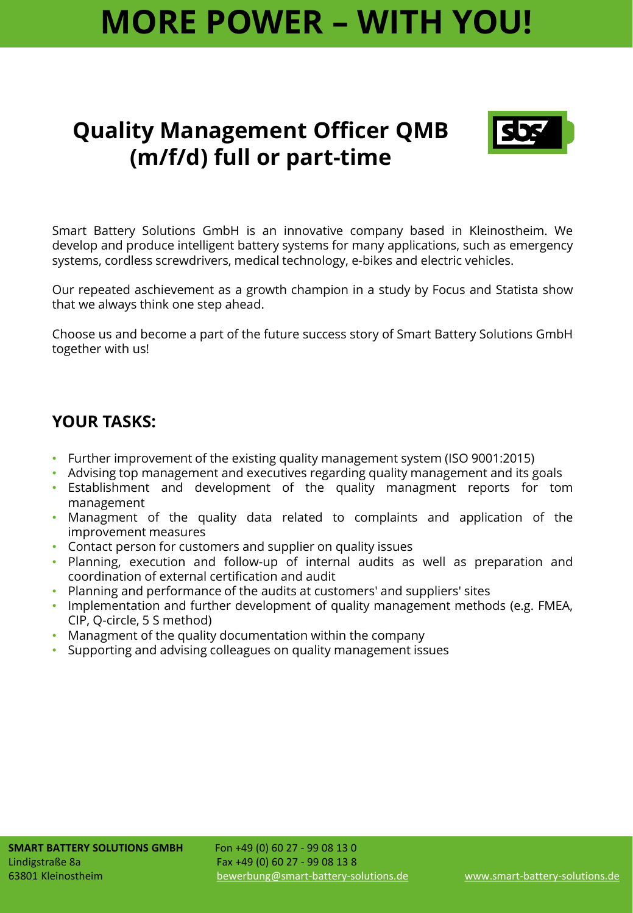# **MORE POWER – WITH YOU!**

### **Quality Management Officer QMB (m/f/d) full or part-time**



Smart Battery Solutions GmbH is an innovative company based in Kleinostheim. We develop and produce intelligent battery systems for many applications, such as emergency systems, cordless screwdrivers, medical technology, e-bikes and electric vehicles.

Our repeated aschievement as a growth champion in a study by Focus and Statista show that we always think one step ahead.

Choose us and become a part of the future success story of Smart Battery Solutions GmbH together with us!

#### **YOUR TASKS:**

- Further improvement of the existing quality management system (ISO 9001:2015)
- Advising top management and executives regarding quality management and its goals
- Establishment and development of the quality managment reports for tom management
- Managment of the quality data related to complaints and application of the improvement measures
- Contact person for customers and supplier on quality issues
- Planning, execution and follow-up of internal audits as well as preparation and coordination of external certification and audit
- Planning and performance of the audits at customers' and suppliers' sites
- Implementation and further development of quality management methods (e.g. FMEA, CIP, Q-circle, 5 S method)
- Managment of the quality documentation within the company
- Supporting and advising colleagues on quality management issues